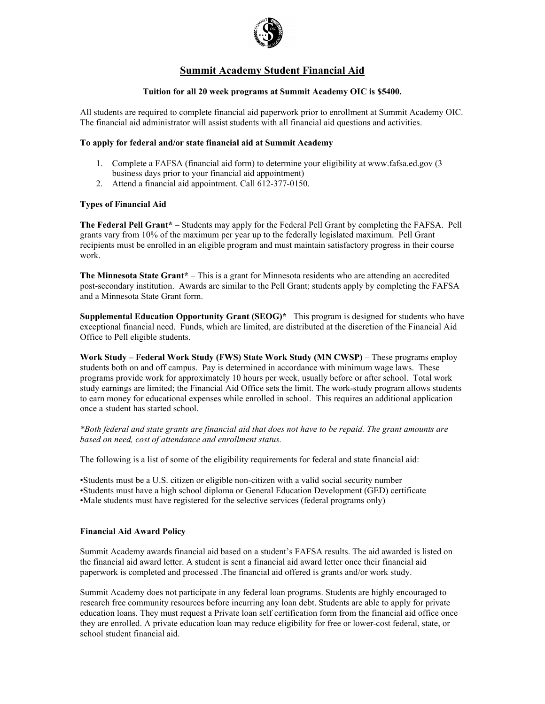

# **Summit Academy Student Financial Aid**

## **Tuition for all 20 week programs at Summit Academy OIC is \$5400.**

All students are required to complete financial aid paperwork prior to enrollment at Summit Academy OIC. The financial aid administrator will assist students with all financial aid questions and activities.

## **To apply for federal and/or state financial aid at Summit Academy**

- 1. Complete a FAFSA (financial aid form) to determine your eligibility at www.fafsa.ed.gov (3 business days prior to your financial aid appointment)
- 2. Attend a financial aid appointment. Call 612-377-0150.

### **Types of Financial Aid**

**The Federal Pell Grant\*** – Students may apply for the Federal Pell Grant by completing the FAFSA. Pell grants vary from 10% of the maximum per year up to the federally legislated maximum. Pell Grant recipients must be enrolled in an eligible program and must maintain satisfactory progress in their course work.

**The Minnesota State Grant\*** – This is a grant for Minnesota residents who are attending an accredited post-secondary institution. Awards are similar to the Pell Grant; students apply by completing the FAFSA and a Minnesota State Grant form.

**Supplemental Education Opportunity Grant (SEOG)\***– This program is designed for students who have exceptional financial need. Funds, which are limited, are distributed at the discretion of the Financial Aid Office to Pell eligible students.

**Work Study – Federal Work Study (FWS) State Work Study (MN CWSP)** – These programs employ students both on and off campus. Pay is determined in accordance with minimum wage laws. These programs provide work for approximately 10 hours per week, usually before or after school. Total work study earnings are limited; the Financial Aid Office sets the limit. The work-study program allows students to earn money for educational expenses while enrolled in school. This requires an additional application once a student has started school.

*\*Both federal and state grants are financial aid that does not have to be repaid. The grant amounts are based on need, cost of attendance and enrollment status.* 

The following is a list of some of the eligibility requirements for federal and state financial aid:

•Students must be a U.S. citizen or eligible non-citizen with a valid social security number •Students must have a high school diploma or General Education Development (GED) certificate •Male students must have registered for the selective services (federal programs only)

### **Financial Aid Award Policy**

Summit Academy awards financial aid based on a student's FAFSA results. The aid awarded is listed on the financial aid award letter. A student is sent a financial aid award letter once their financial aid paperwork is completed and processed .The financial aid offered is grants and/or work study.

Summit Academy does not participate in any federal loan programs. Students are highly encouraged to research free community resources before incurring any loan debt. Students are able to apply for private education loans. They must request a Private loan self certification form from the financial aid office once they are enrolled. A private education loan may reduce eligibility for free or lower-cost federal, state, or school student financial aid.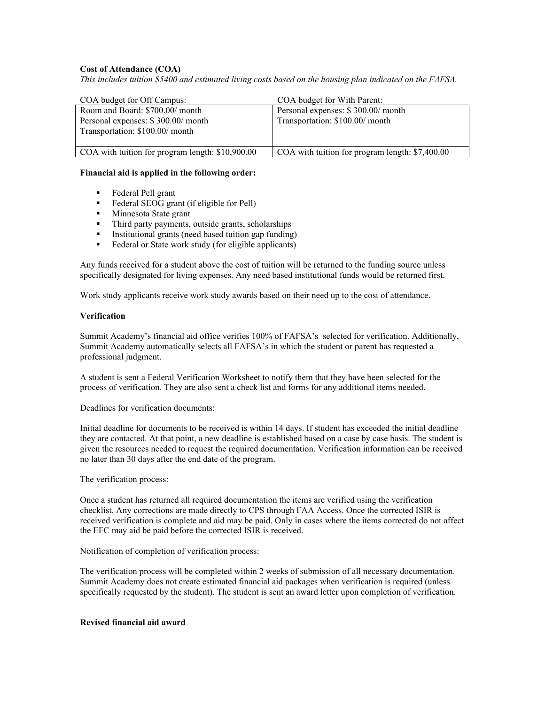## **Cost of Attendance (COA)**

*This includes tuition \$5400 and estimated living costs based on the housing plan indicated on the FAFSA.*

| COA budget for Off Campus:                                                                               | COA budget for With Parent:                                           |
|----------------------------------------------------------------------------------------------------------|-----------------------------------------------------------------------|
| Room and Board: \$700.00/ month<br>Personal expenses: \$300.00/ month<br>Transportation: \$100.00/ month | Personal expenses: \$300.00/ month<br>Transportation: \$100.00/ month |
| COA with tuition for program length: \$10,900.00                                                         | COA with tuition for program length: \$7,400.00                       |

#### **Financial aid is applied in the following order:**

- **Federal Pell grant**
- Federal SEOG grant (if eligible for Pell)
- Minnesota State grant
- Third party payments, outside grants, scholarships
- Institutional grants (need based tuition gap funding)
- Federal or State work study (for eligible applicants)

Any funds received for a student above the cost of tuition will be returned to the funding source unless specifically designated for living expenses. Any need based institutional funds would be returned first.

Work study applicants receive work study awards based on their need up to the cost of attendance.

### **Verification**

Summit Academy's financial aid office verifies 100% of FAFSA's selected for verification. Additionally, Summit Academy automatically selects all FAFSA's in which the student or parent has requested a professional judgment.

A student is sent a Federal Verification Worksheet to notify them that they have been selected for the process of verification. They are also sent a check list and forms for any additional items needed.

Deadlines for verification documents:

Initial deadline for documents to be received is within 14 days. If student has exceeded the initial deadline they are contacted. At that point, a new deadline is established based on a case by case basis. The student is given the resources needed to request the required documentation. Verification information can be received no later than 30 days after the end date of the program.

The verification process:

Once a student has returned all required documentation the items are verified using the verification checklist. Any corrections are made directly to CPS through FAA Access. Once the corrected ISIR is received verification is complete and aid may be paid. Only in cases where the items corrected do not affect the EFC may aid be paid before the corrected ISIR is received.

#### Notification of completion of verification process:

The verification process will be completed within 2 weeks of submission of all necessary documentation. Summit Academy does not create estimated financial aid packages when verification is required (unless specifically requested by the student). The student is sent an award letter upon completion of verification.

#### **Revised financial aid award**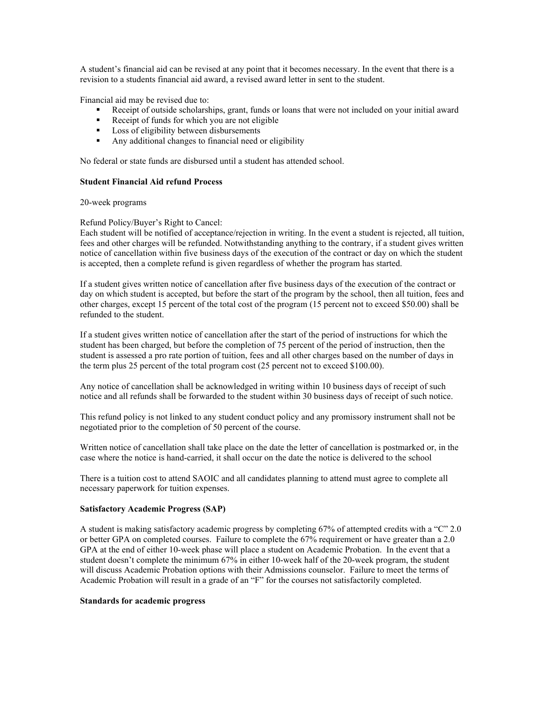A student's financial aid can be revised at any point that it becomes necessary. In the event that there is a revision to a students financial aid award, a revised award letter in sent to the student.

Financial aid may be revised due to:

- Receipt of outside scholarships, grant, funds or loans that were not included on your initial award
- Receipt of funds for which you are not eligible
- **Loss of eligibility between disbursements**
- Any additional changes to financial need or eligibility

No federal or state funds are disbursed until a student has attended school.

### **Student Financial Aid refund Process**

20-week programs

### Refund Policy/Buyer's Right to Cancel:

Each student will be notified of acceptance/rejection in writing. In the event a student is rejected, all tuition, fees and other charges will be refunded. Notwithstanding anything to the contrary, if a student gives written notice of cancellation within five business days of the execution of the contract or day on which the student is accepted, then a complete refund is given regardless of whether the program has started.

If a student gives written notice of cancellation after five business days of the execution of the contract or day on which student is accepted, but before the start of the program by the school, then all tuition, fees and other charges, except 15 percent of the total cost of the program (15 percent not to exceed \$50.00) shall be refunded to the student.

If a student gives written notice of cancellation after the start of the period of instructions for which the student has been charged, but before the completion of 75 percent of the period of instruction, then the student is assessed a pro rate portion of tuition, fees and all other charges based on the number of days in the term plus 25 percent of the total program cost (25 percent not to exceed \$100.00).

Any notice of cancellation shall be acknowledged in writing within 10 business days of receipt of such notice and all refunds shall be forwarded to the student within 30 business days of receipt of such notice.

This refund policy is not linked to any student conduct policy and any promissory instrument shall not be negotiated prior to the completion of 50 percent of the course.

Written notice of cancellation shall take place on the date the letter of cancellation is postmarked or, in the case where the notice is hand-carried, it shall occur on the date the notice is delivered to the school

There is a tuition cost to attend SAOIC and all candidates planning to attend must agree to complete all necessary paperwork for tuition expenses.

### **Satisfactory Academic Progress (SAP)**

A student is making satisfactory academic progress by completing 67% of attempted credits with a "C" 2.0 or better GPA on completed courses. Failure to complete the 67% requirement or have greater than a 2.0 GPA at the end of either 10-week phase will place a student on Academic Probation. In the event that a student doesn't complete the minimum 67% in either 10-week half of the 20-week program, the student will discuss Academic Probation options with their Admissions counselor. Failure to meet the terms of Academic Probation will result in a grade of an "F" for the courses not satisfactorily completed.

### **Standards for academic progress**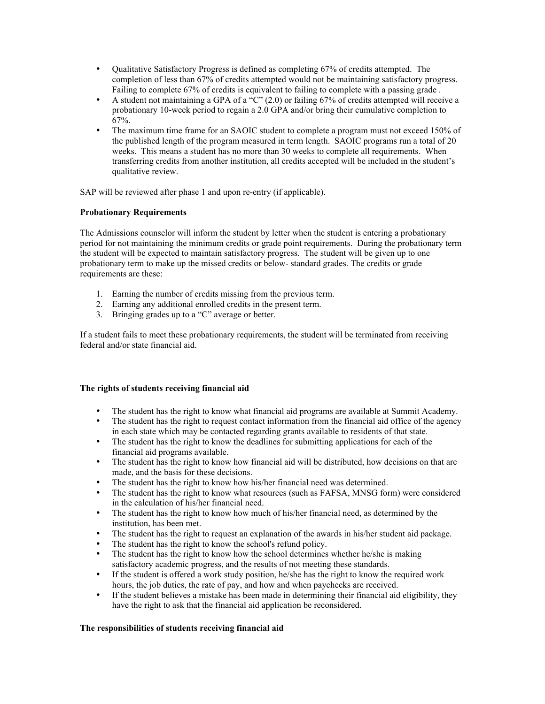- Qualitative Satisfactory Progress is defined as completing 67% of credits attempted. The completion of less than 67% of credits attempted would not be maintaining satisfactory progress. Failing to complete 67% of credits is equivalent to failing to complete with a passing grade .
- A student not maintaining a GPA of a "C" (2.0) or failing 67% of credits attempted will receive a probationary 10-week period to regain a 2.0 GPA and/or bring their cumulative completion to 67%.
- The maximum time frame for an SAOIC student to complete a program must not exceed 150% of the published length of the program measured in term length. SAOIC programs run a total of 20 weeks. This means a student has no more than 30 weeks to complete all requirements. When transferring credits from another institution, all credits accepted will be included in the student's qualitative review.

SAP will be reviewed after phase 1 and upon re-entry (if applicable).

# **Probationary Requirements**

The Admissions counselor will inform the student by letter when the student is entering a probationary period for not maintaining the minimum credits or grade point requirements. During the probationary term the student will be expected to maintain satisfactory progress. The student will be given up to one probationary term to make up the missed credits or below- standard grades. The credits or grade requirements are these:

- 1. Earning the number of credits missing from the previous term.
- 2. Earning any additional enrolled credits in the present term.
- 3. Bringing grades up to a "C" average or better.

If a student fails to meet these probationary requirements, the student will be terminated from receiving federal and/or state financial aid.

# **The rights of students receiving financial aid**

- The student has the right to know what financial aid programs are available at Summit Academy.
- The student has the right to request contact information from the financial aid office of the agency in each state which may be contacted regarding grants available to residents of that state.
- The student has the right to know the deadlines for submitting applications for each of the financial aid programs available.
- The student has the right to know how financial aid will be distributed, how decisions on that are made, and the basis for these decisions.
- The student has the right to know how his/her financial need was determined.<br>• The student has the right to know what resources (such as FAFSA, MNSG for
- The student has the right to know what resources (such as FAFSA, MNSG form) were considered in the calculation of his/her financial need.
- The student has the right to know how much of his/her financial need, as determined by the institution, has been met.
- The student has the right to request an explanation of the awards in his/her student aid package.
- The student has the right to know the school's refund policy.
- The student has the right to know how the school determines whether he/she is making satisfactory academic progress, and the results of not meeting these standards.
- If the student is offered a work study position, he/she has the right to know the required work hours, the job duties, the rate of pay, and how and when paychecks are received.
- If the student believes a mistake has been made in determining their financial aid eligibility, they have the right to ask that the financial aid application be reconsidered.

# **The responsibilities of students receiving financial aid**